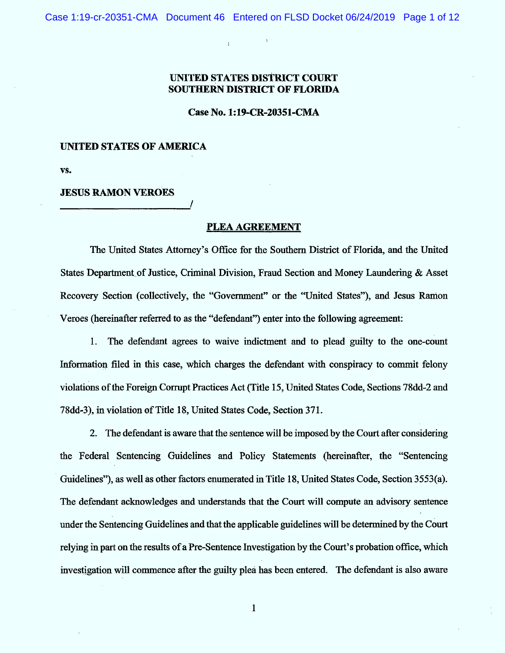$\overline{1}$ 

 $\mathbf{I}$ 

## **UNITED STATES DISTRICT COURT SOUTHERN DISTRICT OF FLORIDA**

Case No. 1:19-CR-20351-CMA

## **UNITED STATES OF AMERICA**

VS.

## **JESUS RAMON VEROES**

## **PLEA AGREEMENT**

The United States Attorney's Office for the Southern District of Florida, and the United States Department of Justice, Criminal Division, Fraud Section and Money Laundering & Asset Recovery Section (collectively, the "Government" or the "United States"), and Jesus Ramon Veroes (hereinafter referred to as the "defendant") enter into the following agreement:

1. The defendant agrees to waive indictment and to plead guilty to the one-count Information filed in this case, which charges the defendant with conspiracy to commit felony violations of the Foreign Corrupt Practices Act (Title 15, United States Code, Sections 78dd-2 and 78dd-3), in violation of Title 18, United States Code, Section 371.

2. The defendant is aware that the sentence will be imposed by the Court after considering the Federal Sentencing Guidelines and Policy Statements (hereinafter, the "Sentencing Guidelines"), as well as other factors enumerated in Title 18, United States Code, Section 3553(a). The defendant acknowledges and understands that the Court will compute an advisory sentence under the Sentencing Guidelines and that the applicable guidelines will be determined by the Court relying in part on the results of a Pre-Sentence Investigation by the Court's probation office, which investigation will commence after the guilty plea has been entered. The defendant is also aware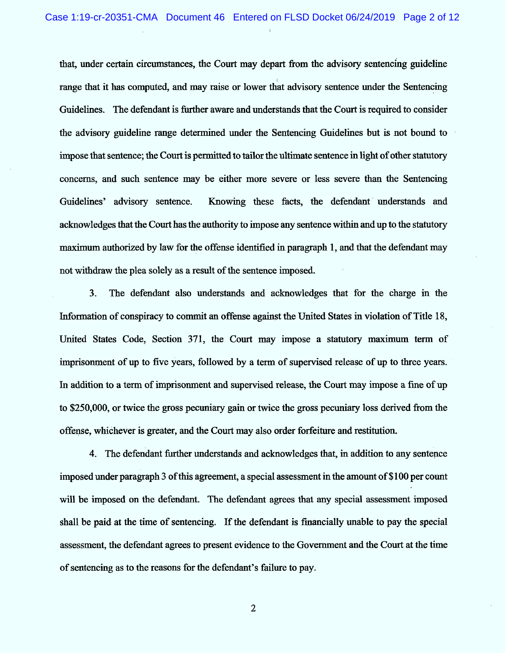that, under certain circumstances, the Court may depart from the advisory sentencing guideline range that it has computed, and may raise or lower that advisory sentence under the Sentencing Guidelines. The defendant is further aware and understands that the Court is required to consider the advisory guideline range determined under the Sentencing Guidelines but is not bound to impose that sentence; the Court is permitted to tailor the ultimate sentence in light of other statutory concerns, and such sentence may be either more severe or less severe than the Sentencing Guidelines' advisory sentence. Knowing these facts, the defendant understands and acknowledges that the Court has the authority to impose any sentence within and up to the statutory maximum authorized by law for the offense identified in paragraph 1, and that the defendant may not withdraw the plea solely as a result of the sentence imposed.

 $3<sub>1</sub>$ The defendant also understands and acknowledges that for the charge in the Information of conspiracy to commit an offense against the United States in violation of Title 18, United States Code, Section 371, the Court may impose a statutory maximum term of imprisonment of up to five years, followed by a term of supervised release of up to three years. In addition to a term of imprisonment and supervised release, the Court may impose a fine of up to \$250,000, or twice the gross pecuniary gain or twice the gross pecuniary loss derived from the offepse, whièhever is greater, and the Court may also order forfeiture and restitution.

4. The defendant further understands and acknowledges that, in addition to any sentence imposed under paragraph 3 of this agreement, a special assessment in the amount of \$100 per count will be imposed on the defendant. The defendant agrees that any special assessment imposed shall be paid at the time of sentencing. If the defendant is financially unable to pay the special assessment, the defendant agrees to present evidence to the Government and the Court at the time of sentencing as to the reasons for the defendant's failure to pay.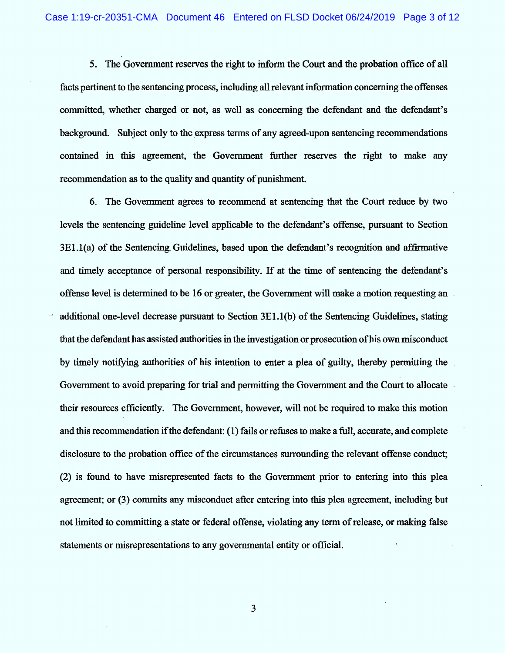5. The Government reserves the right to inform the Court and the probation office of all facts pertinent to the sentencing process, including all relevant information concerning the offenses committed, whether charged or not, as well as concerning the defendant and the defendant's background. Subject only to the express terms of any agreed-upon sentencing recommendations contained in this agreement, the Government further reserves the right to make any recommendation as to the quality and quantity of punishment.

6. The Government agrees to recommend at sentencing that the Court reduce by two levels the sentencing guideline level applicable to the defendant's offense, pursuant to Section 3E1.1(a) of the Sentencing Guidelines, based upon the defendant's recognition and affirmative and timely acceptance of personal responsibility. If at the time of sentencing the defendant's offense level is determined to be 16 or greater, the Government will make a motion requesting an additional one-level decrease pursuant to Section 3E1.1(b) of the Sentencing Guidelines, stating that the defendant has assisted authorities in the investigation or prosecution of his own misconduct by timely notifying authorities of his intention to enter a plea of guilty, thereby permitting the Government to avoid preparing for trial and permitting the Government and the Court to allocate their resources efficiently. The Government, however, will not be required to make this motion and this recommendation if the defendant: (1) fails or refuses to make a full, accurate, and complete disclosure to the probation office of the circumstances surrounding the relevant offense conduct; (2) is found to have misrepresented facts to the Government prior to entering into this plea agreement; or (3) commits any misconduct after entering into this plea agreement, including but not limited to committing a state or federal offense, violating any term of release, or making false statements or misrepresentations to any governmental entity or official.

 $\overline{\mathbf{3}}$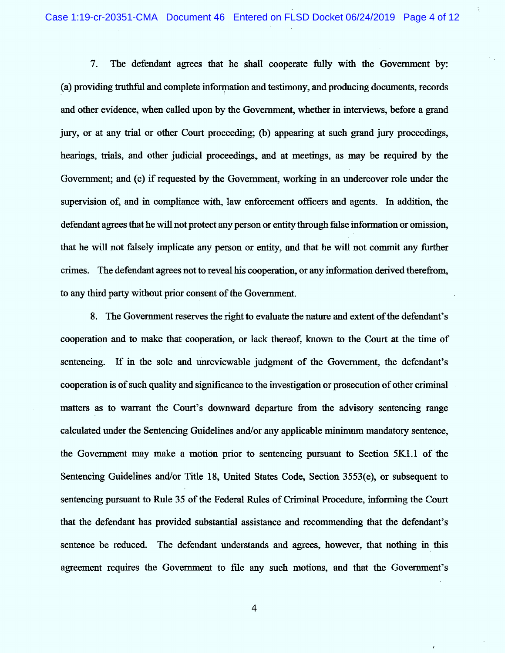$7<sub>1</sub>$ The defendant agrees that he shall cooperate fully with the Government by: (a) providing truthful and complete information and testimony, and producing documents, records and other evidence, when called upon by the Government, whether in interviews, before a grand jury, or at any trial or other Court proceeding; (b) appearing at such grand jury proceedings, hearings, trials, and other judicial proceedings, and at meetings, as may be required by the Government; and (c) if requested by the Government, working in an undercover role under the supervision of, and in compliance with, law enforcement officers and agents. In addition, the defendant agrees that he will not protect any person or entity through false information or omission, that he will not falsely implicate any person or entity, and that he will not commit any further crimes. The defendant agrees not to reveal his cooperation, or any information derived therefrom, to any third party without prior consent of the Government.

8. The Government reserves the right to evaluate the nature and extent of the defendant's cooperation and to make that cooperation, or lack thereof, known to the Court at the time of sentencing. If in the sole and unreviewable judgment of the Government, the defendant's cooperation is of such quality and significance to the investigation or prosecution of other criminal matters as to warrant the Court's downward departure from the advisory sentencing range calculated under the Sentencing Guidelines and/or any applicable minimum mandatory sentence, the Government may make a motion prior to sentencing pursuant to Section  $5K1.1$  of the Sentencing Guidelines and/or Title 18, United States Code, Section 3553(e), or subsequent to sentencing pursuant to Rule 35 of the Federal Rules of Criminal Procedure, informing the Court that the defendant has provided substantial assistance and recommending that the defendant's sentence be reduced. The defendant understands and agrees, however, that nothing in this agreement requires the Government to file any such motions, and that the Government's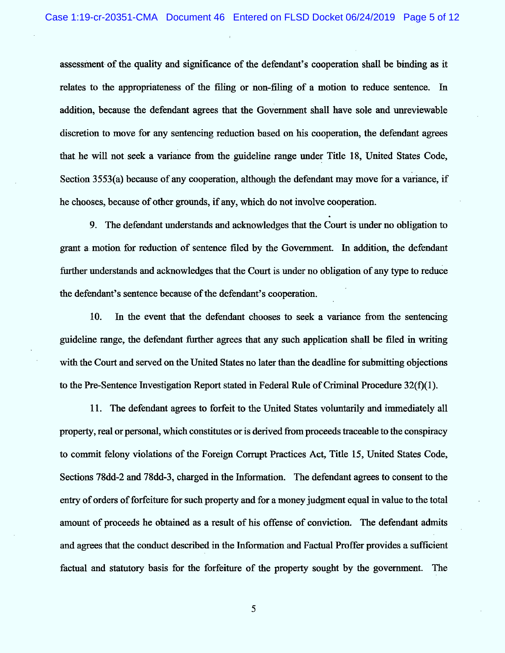assessment of the quality and significance of the defendant's cooperation shall be binding as it relates to the appropriateness of the filing or non-filing of a motion to reduce sentence. In addition, because the defendant agrees that the Government shall have sole and unreviewable discretion to move for any sentencing reduction based on his cooperation, the defendant agrees that he will not seek a variance from the guideline range under Title 18, United States Code, Section 3553(a) because of any cooperation, although the defendant may move for a variance, if he chooses, because of other grounds, if any, which do not involve cooperation.

9. The defendant understands and acknowledges that the Court is under no obligation to grant a motion for reduction of sentence filed by the Government. In addition, the defendant further understands and acknowledges that the Court is under no obligation of any type to reduce the defendant's sentence because of the defendant's cooperation.

10. In the event that the defendant chooses to seek a variance from the sentencing guideline range, the defendant further agrees that any such application shall be filed in writing with the Court and served on the United States no later than the deadline for submitting objections to the Pre-Sentence Investigation Report stated in Federal Rule of Criminal Procedure  $32(f)(1)$ .

11. The defendant agrees to forfeit to the United States voluntarily and immediately all property, real or personal, which constitutes or is derived from proceeds traceable to the conspiracy to commit felony violations of the Foreign Corrupt Practices Act, Title 15, United States Code, Sections 78dd-2 and 78dd-3, charged in the Information. The defendant agrees to consent to the entry of orders of forfeiture for such property and for a money judgment equal in value to the total amount of proceeds he obtained as a result of his offense of conviction. The defendant admits and agrees that the conduct described in the Information and Factual Proffer provides a sufficient factual and statutory basis for the forfeiture of the property sought by the government. The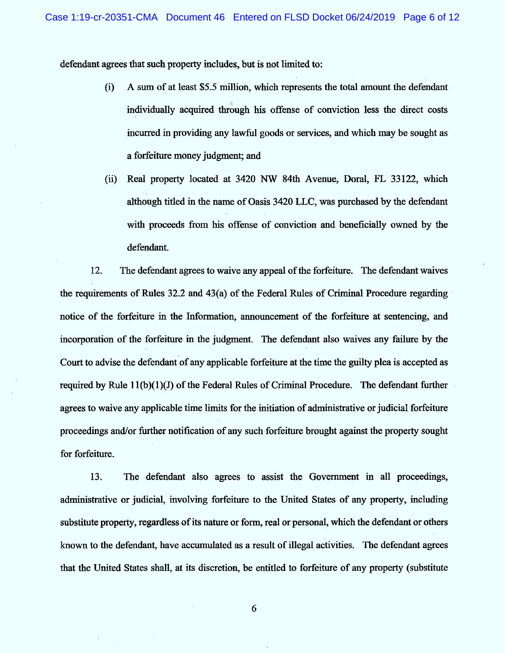defendant agrees that such property includes, but is not limited to:

- $(i)$  A sum of at least \$5.5 million, which represents the total amount the defendant individually acquired through his offense of conviction less the direct costs incurred in providing any lawful goods or services, and which may be sought as a forfeiture money judgment; and
- (ii) Real property located at 3420 NW 84th Avenue, Doral, FL 33122, which although titled in the name of Oasis 3420 LLC, was purchased by the defendant with proceeds from his offense of conviction and beneficially owned by the defendant.

12. The defendant agrees to waive any appeal of the forfeiture. The defendant waives the requirements of Rules 32.2 and 43(a) of the Federal Rules of Criminal Procedme regarding notice of the forfeiture in the Information, announcement of the forfeiture at sentencing, and incorporation of the forfeiture in the judgment. The defendant also waives any failure by the Court to advise the defendant of any applicable forfeiture at the time the guilty plea is accepted as required by Rule  $11(b)(1)(J)$  of the Federal Rules of Criminal Procedure. The defendant further agrees to waive any applicable time limits for the initiation of administrative or judicial forfeiture proceedings and/or further notification of any such forfeiture brought against the property sought for forfeiture.

13. The defendant also agrees to assist the Government in all proceedings, administrative or judicial, involving forfeiture to the United States of any property, including substitute property, regardless of its nature or form, real or personal, which the defendant or others known to the defendant, have accumulated as a result of illegal activities. The defendant agrees that the United States shall, at its discretion, be entitled to forfeiture of any property (substitute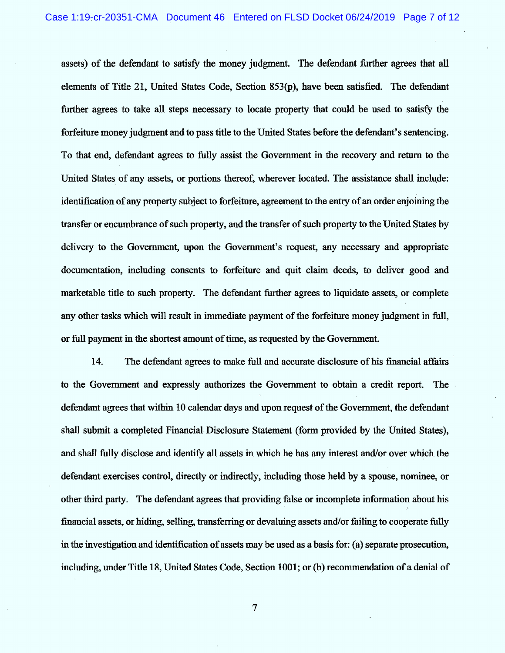assets) of the defendant to satisfy the money judgment. The defendant further apees that a11 elements of Title 21, United States Code, Section 853(p), have been satisfied. The defendant further agrees to take all steps necessary to locate property that could be used to satisfy the forfeiture money judgment and to pass title to the United States before the defendant's sentencing. To that end, defendant agrees to fully assist the Government in the recovery and return to the United States of any assets, or portions thereof, wherever located. The assistance shall include: identification of any property subject to forfeiture, agreement to the entry of an order enjoining the transfer or encumbrance of such property, and the transfer of such property to the United States by delivery to the Government, upon the Government's request, any necessary and appropriate documentation, including consents to forfeiture and quit claim deeds, to deliver good and marketable title to such property. The defendant further agrees to liquidate assets, or complete any other tasks which will result in immediate payment of the forfeiture money judgment in full, or full payment in the shortest amount of time, as requested by the Government.

14. The defendant agrees to make full and accurate disclosure of his financial affairs to the Government and expressly authorizes the Government to obtain a credit report. The defendant agrees that within 10 calendar days and upon request of the Government, the defendant shall submit a completed Financial. Disclosure Statement (form provided by the United States), and shall fully disclose and identify all assets in which he has any interest and/or over which the defendant exercises control, directly or indirectly, including those held by a spouse, nominee, or other third party. The defendant agrees that providing false or incomplete information about his financial assets, or hiding, selling, transferring or devaluing assets and/or failing to cooperate fully in the investigation and identification of assets may be used as a basis for: (a) separate prosecution, including, under Title 18, United States Code, Section 1001; or (b) recommendation of a denial of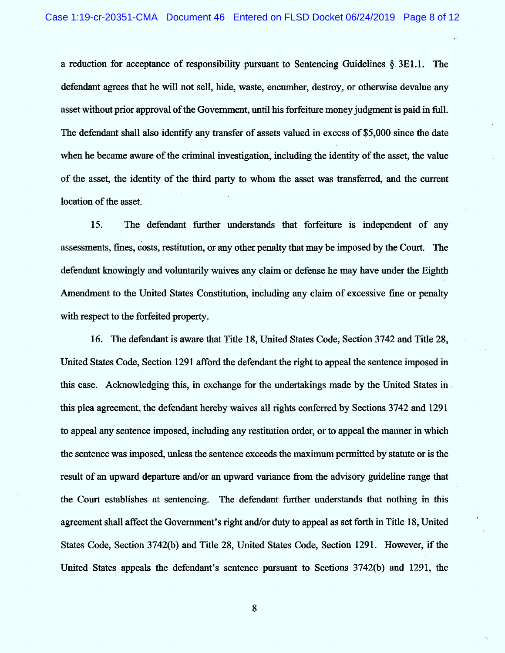a reduction for acceptance of responsibility pursuant to Sentencing Guidelines  $\S$ . 3E1.1. The defendant agrees that he will not sell, hide, waste, encumber, destroy, or otherwise devalue any asset without prior approval of the Government, until his forfeiture money judgment is paid in full. The defendant shall also identify any transfer of assets valued in excess of \$5,000 since the date when he became aware of the criminal investigation, including the identity of the asset, the value of the asset, the identity of the third party to whom the asset was transferred, and the current location of the asset.

15. The defendant further understands that forfeiture is independent of any assessments, fines, costs, restitution, or any other penalty that may be imposed by the Court. The defendant knowingly and voluntarily waives any claim or defense he may have under the Eighth Amendment to the United States Constitution, including any claim of excessive fine or penalty with respect to the forfeited property.

16. The defendant is aware that Title 18, United States Code, Section 3742 and Title 28, United States Code, Section 1291 afford the defendant the right to appeal the sentence imposed in this case. A cknowledging this, in exchange for the undertakings made by the United States in . this plea agreement, the defendant hereby waives all rights conferred by Sections 3742 and 1291 to appeal any sentence imposed, including any restitution order, or to appeal the manner in which the sentence was imposed, unless the sentence exceeds the maximum permitted by statute or is the result of an upward departure and/or an upward variance from the advisory guideline range that the Court establishes at sentencing. The defendant further understands that nothing in this agreement shall affect the Government's right and/or duty to appeal as set forth in Title 18, United States Code, Section 3742(b) and Title 28, United States Code, Section 1291. However, if the United States appeals the defendant's sentence pursuant to Sections 3742(b) and 1291, the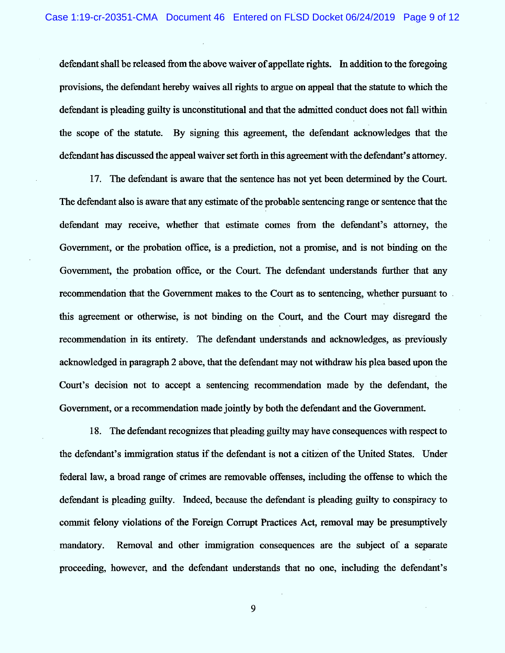defendant shall be released from the above waiver of appellate rights. In addition to the foregoing provisions, the defendant hereby waives all rights to argue on appeal that the statute to which the defendant is pleading guilty is unconstitutional and that the admitted conduct does not fall within the scope of the statute. By signing this agreement, the defendant acknowledges that the defendant has discussed the appeal waiver set forth in this agreement with the defendant's attorney.

17. The defendant is aware that the sentence has not yet been determined by the Court. The defendant also is aware that any esfimate of the probable sentencing range or sentence that the defendant may receive, whether that estimate comes from the defendant's attorney, the Government, or the probation office, is a prediction, not a promise, and is not binding on the Government, the probation office, or the Court. The defendant understands further that any recommendation that the Government makes to the Court as to sentencing, whether pursuant to this agreement or otherwise, is not binding on the Court, and the Court may disregard the recommendation in its entirety. The defendant understands and acknowledges, as previously acknowledged in paragraph 2 above, that the defendant may not withdraw his plea based upon the Court's decision not to accept a sentencing recommendation made by the defendant, the Government, or a recommendation made jointly by both the defendant and the Government.

18. The defendant recognizes that pleading guilty may have consequences with respect to the defendant's immigration status if the defendant is not a citizen of the United States. Under federal law, a broad range of crimes are removable offenses, including the offense to which the defendant is pleading guilty. Indeed, because the defendant is pleading guilty to conspiracy to commit felony violations of the Foreign Corrupt Practices Act, removal may be presumptively mandatory. Removal and other immigration consequences are the subject of a separate proceeding, however, and the defendant understands that no one, including the defendant's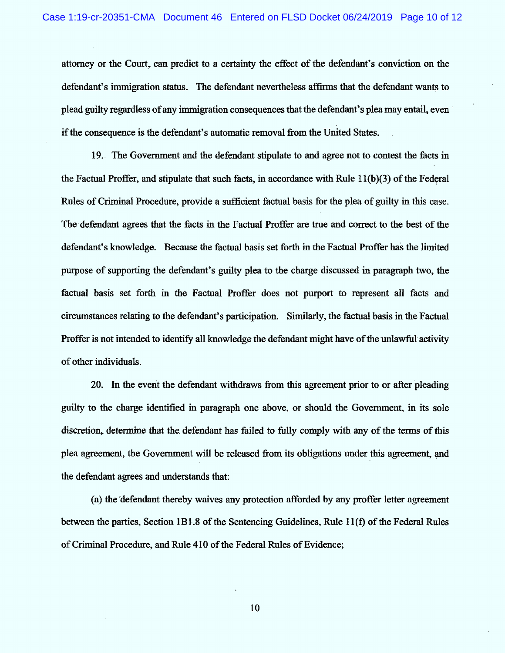attorney or the Court, can predict to a certainty the effect of the defendant's conviction on the defendant's immigration status. The defendant nevertheless affirms that the defendant wants to plead guilty regardless of any immigration consequences that the defendant's plea may entail, even if the consequence is the defendant's automatic removal from the United States.

19. The Government and the defendant stipulate to and agree not to contest the facts in the Factual Proffer, and stipulate that such facts, in accordance with Rule 11(b)(3) of the Federal Rules of Criminal Procedure, provide a sufficient factual basis for the plea of guilty in this case. The defendant agrees that the facts in the Factual Proffer are true and correct to the best of the defendant's knowledge. Because the factual basis set forth in the Factual Proffer has the limited purpose of supporting the defendant's guilty plea to the charge discussed in paragraph two, the factual basis set forth in the Factual Proffer does not purport to represent all facts and circumstances relating to the defendant's participation. Similarly, the factual basis in the Factual Proffer is not intended to identify all knowledge the defendant might have of the unlawful activity of other individuals.

20. In the event the defendant withdraws from this agreement prior to or after pleading guilty to the charge identified in paragraph one above, or should the Government, in its sole discretion, determine that the defendant has failed to fully comply with any of the terms of this plea agreement, the Government will be released from its obligations under this agreement, and the defendant agrees and understands that:

(a) the defendant thereby waives any protection afforded by any proffer letter agreement between the parties, Section 1B1.8 of the Sentencing Guidelines, Rule 11(f) of the Federal Rules of Criminal Procedure, and Rule 410 of the Federal Rules of Evidence;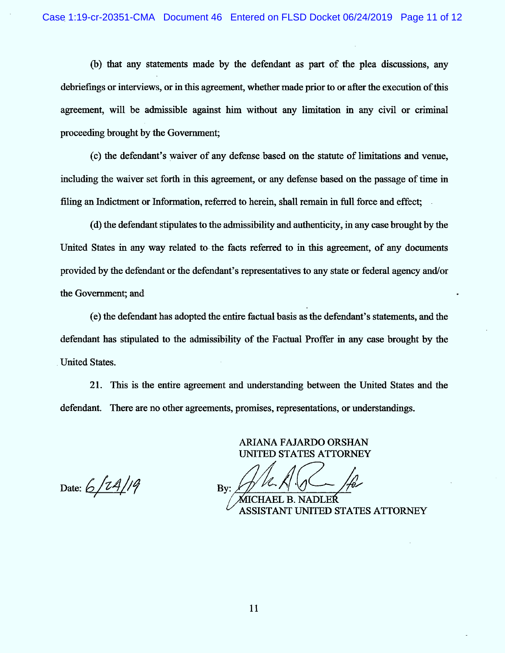(b) that any statements made by the defendant as part of the plea discussions, any debriefings or interviews, or in this agreement, whether made prior to or after the execution of this agreement, will be admissible against him without any limitation in any civil or criminal proceeding brought by the Government;

(c) the defendant's waiver of any defense based on the statute of limitations and venue, including the waiver set forth in this agreement, or any defense based on the passage of time in filing an Indictment or Information, referred to herein, shall remain in full force and effect;

(d) the defendant stipulàtes to the admissibility and authenticity, in any case brought by the United States in any way related to the facts referred to in this agreement, of any documents provided by the defendant or the defendant's representatives to any state or federal agency and/or the Government; and

(e) the defendant has adopted the entire factual basis as the defendant's statements, and the defendant has stipulated to the admissibility of the Factual Proffer in any case brought by the United States.

21. This is the entire agreement and tmderstanding between the United States and the defendant. There are no other agreements, promises, representations, or understandings.

> ARIANA FAJARDO ORSHAN UNITED STATES ATTORNEY

Date:  $6/14/19$ 

By: y, +

B. NADLER ASSISTANT UNI'I'ED STATES ATTORNEY